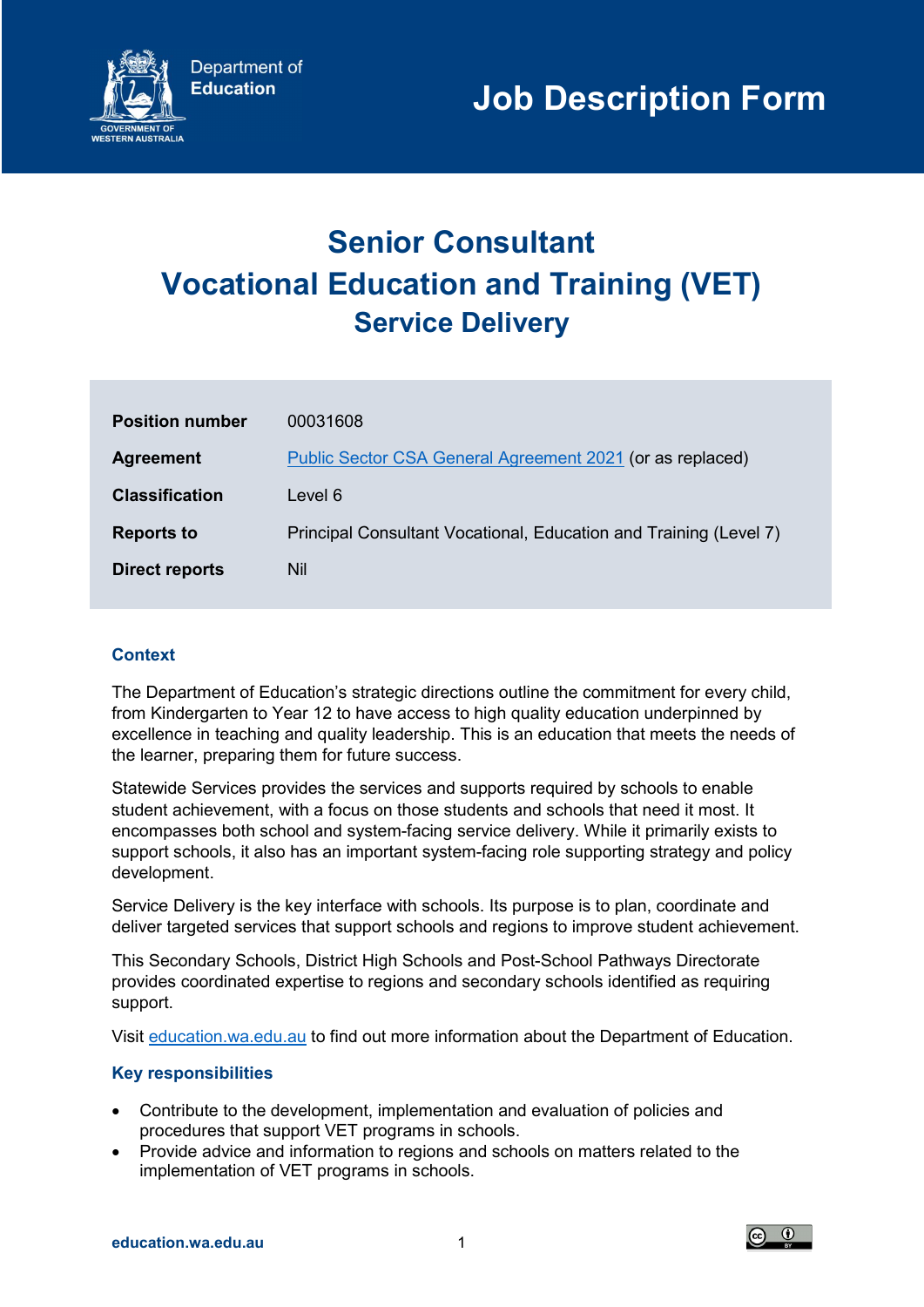

# Senior Consultant Vocational Education and Training (VET) Service Delivery

| <b>Position number</b> | 00031608                                                          |
|------------------------|-------------------------------------------------------------------|
| <b>Agreement</b>       | Public Sector CSA General Agreement 2021 (or as replaced)         |
| <b>Classification</b>  | Level 6                                                           |
| <b>Reports to</b>      | Principal Consultant Vocational, Education and Training (Level 7) |
| <b>Direct reports</b>  | Nil                                                               |

## **Context**

The Department of Education's strategic directions outline the commitment for every child, from Kindergarten to Year 12 to have access to high quality education underpinned by excellence in teaching and quality leadership. This is an education that meets the needs of the learner, preparing them for future success.

Statewide Services provides the services and supports required by schools to enable student achievement, with a focus on those students and schools that need it most. It encompasses both school and system-facing service delivery. While it primarily exists to support schools, it also has an important system-facing role supporting strategy and policy development.

Service Delivery is the key interface with schools. Its purpose is to plan, coordinate and deliver targeted services that support schools and regions to improve student achievement.

This Secondary Schools, District High Schools and Post-School Pathways Directorate provides coordinated expertise to regions and secondary schools identified as requiring support.

Visit education.wa.edu.au to find out more information about the Department of Education.

### Key responsibilities

- Contribute to the development, implementation and evaluation of policies and procedures that support VET programs in schools.
- Provide advice and information to regions and schools on matters related to the implementation of VET programs in schools.